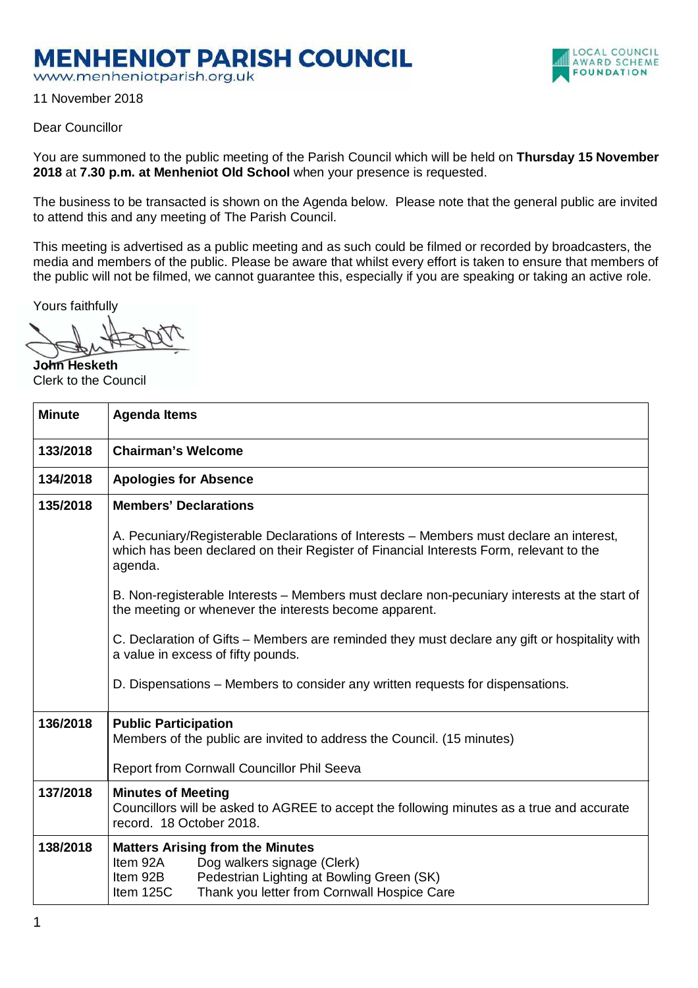## **MENHENIOT PARISH COUNCIL**

www.menheniotparish.org.uk

11 November 2018



LOCAL COUNCIL AWARD SCHEME **FOUNDATION** 

You are summoned to the public meeting of the Parish Council which will be held on **Thursday 15 November 2018** at **7.30 p.m. at Menheniot Old School** when your presence is requested.

The business to be transacted is shown on the Agenda below. Please note that the general public are invited to attend this and any meeting of The Parish Council.

This meeting is advertised as a public meeting and as such could be filmed or recorded by broadcasters, the media and members of the public. Please be aware that whilst every effort is taken to ensure that members of the public will not be filmed, we cannot guarantee this, especially if you are speaking or taking an active role.

Yours faithfully

**John Hesketh**  Clerk to the Council

| <b>Minute</b> | <b>Agenda Items</b>                                                                                                                                                                                     |  |  |  |  |  |
|---------------|---------------------------------------------------------------------------------------------------------------------------------------------------------------------------------------------------------|--|--|--|--|--|
| 133/2018      | <b>Chairman's Welcome</b>                                                                                                                                                                               |  |  |  |  |  |
| 134/2018      | <b>Apologies for Absence</b>                                                                                                                                                                            |  |  |  |  |  |
| 135/2018      | <b>Members' Declarations</b>                                                                                                                                                                            |  |  |  |  |  |
|               | A. Pecuniary/Registerable Declarations of Interests – Members must declare an interest,<br>which has been declared on their Register of Financial Interests Form, relevant to the<br>agenda.            |  |  |  |  |  |
|               | B. Non-registerable Interests – Members must declare non-pecuniary interests at the start of<br>the meeting or whenever the interests become apparent.                                                  |  |  |  |  |  |
|               | C. Declaration of Gifts – Members are reminded they must declare any gift or hospitality with<br>a value in excess of fifty pounds.                                                                     |  |  |  |  |  |
|               | D. Dispensations – Members to consider any written requests for dispensations.                                                                                                                          |  |  |  |  |  |
| 136/2018      | <b>Public Participation</b><br>Members of the public are invited to address the Council. (15 minutes)                                                                                                   |  |  |  |  |  |
|               | Report from Cornwall Councillor Phil Seeva                                                                                                                                                              |  |  |  |  |  |
| 137/2018      | <b>Minutes of Meeting</b><br>Councillors will be asked to AGREE to accept the following minutes as a true and accurate<br>record. 18 October 2018.                                                      |  |  |  |  |  |
| 138/2018      | <b>Matters Arising from the Minutes</b><br>Dog walkers signage (Clerk)<br>Item 92A<br>Pedestrian Lighting at Bowling Green (SK)<br>Item 92B<br>Thank you letter from Cornwall Hospice Care<br>Item 125C |  |  |  |  |  |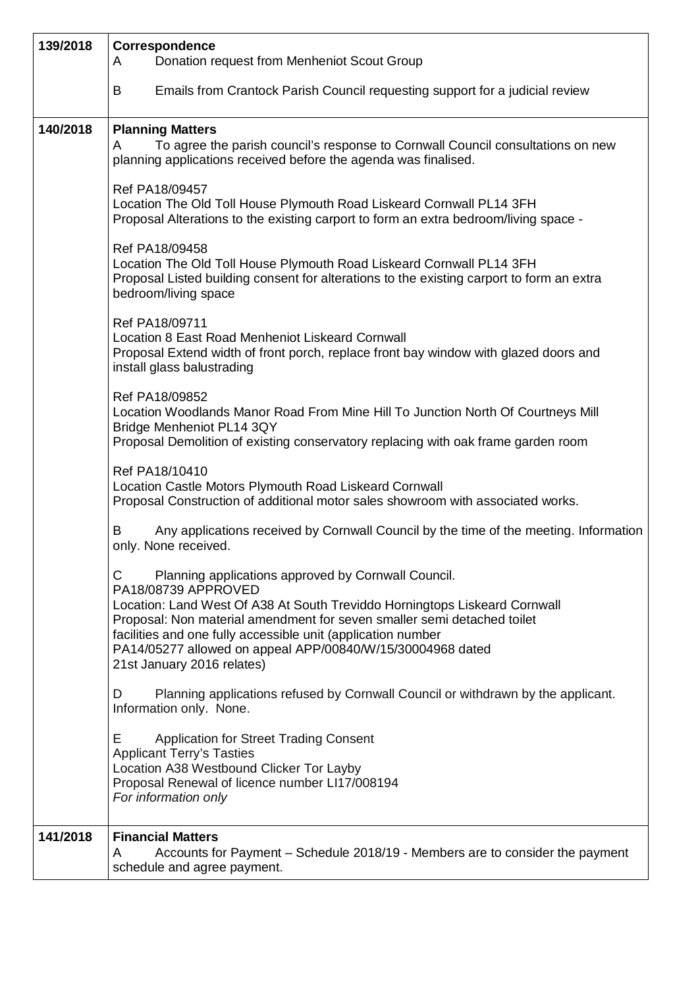| 139/2018 | Correspondence<br>Donation request from Menheniot Scout Group<br>A                                                                                                                                                                                                                                       |
|----------|----------------------------------------------------------------------------------------------------------------------------------------------------------------------------------------------------------------------------------------------------------------------------------------------------------|
|          | Emails from Crantock Parish Council requesting support for a judicial review<br>B                                                                                                                                                                                                                        |
| 140/2018 | <b>Planning Matters</b>                                                                                                                                                                                                                                                                                  |
|          | To agree the parish council's response to Cornwall Council consultations on new<br>A<br>planning applications received before the agenda was finalised.                                                                                                                                                  |
|          | Ref PA18/09457<br>Location The Old Toll House Plymouth Road Liskeard Cornwall PL14 3FH<br>Proposal Alterations to the existing carport to form an extra bedroom/living space -                                                                                                                           |
|          | Ref PA18/09458<br>Location The Old Toll House Plymouth Road Liskeard Cornwall PL14 3FH<br>Proposal Listed building consent for alterations to the existing carport to form an extra<br>bedroom/living space                                                                                              |
|          | Ref PA18/09711<br>Location 8 East Road Menheniot Liskeard Cornwall<br>Proposal Extend width of front porch, replace front bay window with glazed doors and<br>install glass balustrading                                                                                                                 |
|          | Ref PA18/09852<br>Location Woodlands Manor Road From Mine Hill To Junction North Of Courtneys Mill<br>Bridge Menheniot PL14 3QY<br>Proposal Demolition of existing conservatory replacing with oak frame garden room                                                                                     |
|          | Ref PA18/10410<br>Location Castle Motors Plymouth Road Liskeard Cornwall<br>Proposal Construction of additional motor sales showroom with associated works.                                                                                                                                              |
|          | Any applications received by Cornwall Council by the time of the meeting. Information<br>B<br>only. None received.                                                                                                                                                                                       |
|          | C<br>Planning applications approved by Cornwall Council.<br>PA18/08739 APPROVED<br>Location: Land West Of A38 At South Treviddo Horningtops Liskeard Cornwall<br>Proposal: Non material amendment for seven smaller semi detached toilet<br>facilities and one fully accessible unit (application number |
|          | PA14/05277 allowed on appeal APP/00840/W/15/30004968 dated<br>21st January 2016 relates)                                                                                                                                                                                                                 |
|          | Planning applications refused by Cornwall Council or withdrawn by the applicant.<br>D<br>Information only. None.                                                                                                                                                                                         |
|          | <b>Application for Street Trading Consent</b><br>Е.<br><b>Applicant Terry's Tasties</b><br>Location A38 Westbound Clicker Tor Layby<br>Proposal Renewal of licence number LI17/008194<br>For information only                                                                                            |
| 141/2018 | <b>Financial Matters</b><br>Accounts for Payment - Schedule 2018/19 - Members are to consider the payment<br>A<br>schedule and agree payment.                                                                                                                                                            |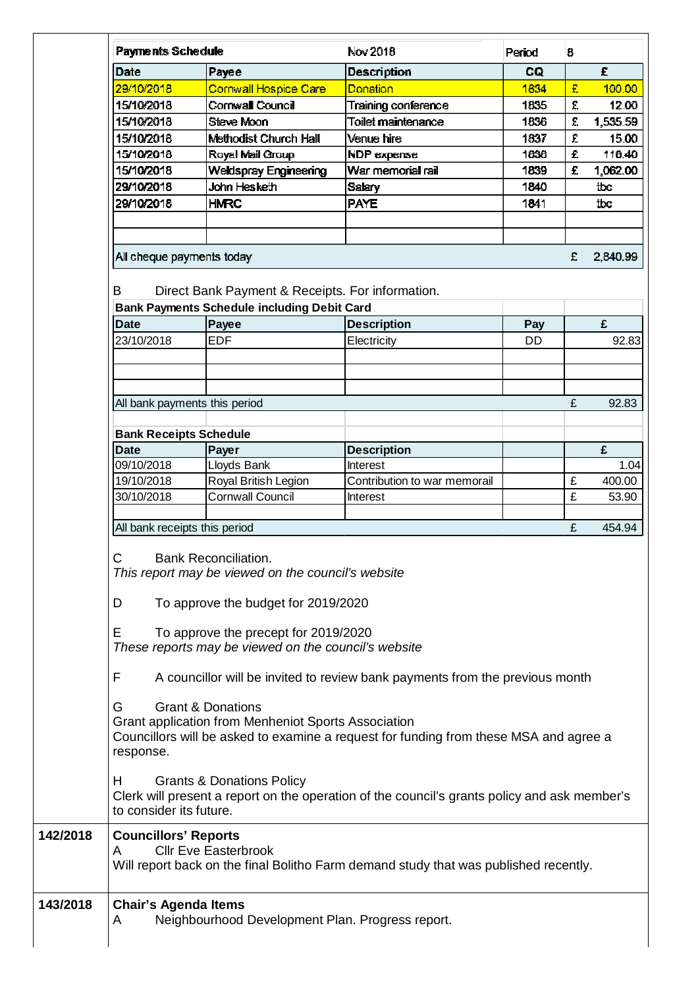|                                                                                                                                    | <b>Payments Schedule</b>                                                                                                                                                                  |                                                    | Nov 2018                                                                                     | Penod | 8 |          |  |  |
|------------------------------------------------------------------------------------------------------------------------------------|-------------------------------------------------------------------------------------------------------------------------------------------------------------------------------------------|----------------------------------------------------|----------------------------------------------------------------------------------------------|-------|---|----------|--|--|
| Date                                                                                                                               |                                                                                                                                                                                           | Payee                                              | <b>Description</b>                                                                           | CQ    |   | £.       |  |  |
|                                                                                                                                    | 29/10/2018                                                                                                                                                                                | Cornwall Hospice Care                              | Donation                                                                                     | 1834  | £ | 100.00   |  |  |
|                                                                                                                                    | 15/10/2018                                                                                                                                                                                | Cornwall Council                                   | Training conference                                                                          | 1835  | £ | 12.00    |  |  |
|                                                                                                                                    | 15/10/2018                                                                                                                                                                                | Steve Moon                                         | Toilet maintenance                                                                           | 1836  | £ | 1,535.59 |  |  |
|                                                                                                                                    | 15/10/2018                                                                                                                                                                                | <b>Methodist Church Hall</b>                       | Venue hire                                                                                   | 1837  | £ | 15.00    |  |  |
|                                                                                                                                    | 15/10/2018                                                                                                                                                                                | Royal Mail Group                                   | NDP expense                                                                                  | 1838  | £ | 116.40   |  |  |
|                                                                                                                                    | 15/10/2018                                                                                                                                                                                | Weldspray Engineering                              | War memorial rail                                                                            | 1839  | £ | 1,062.00 |  |  |
|                                                                                                                                    | 29/10/2018                                                                                                                                                                                | John Hesketh                                       | <b>Salary</b>                                                                                | 1840  |   | tbc      |  |  |
|                                                                                                                                    | 29/10/2018                                                                                                                                                                                | <b>HMRC</b>                                        | <b>PAYE</b>                                                                                  | 1841  |   | tbc      |  |  |
|                                                                                                                                    |                                                                                                                                                                                           |                                                    |                                                                                              |       |   |          |  |  |
|                                                                                                                                    |                                                                                                                                                                                           |                                                    |                                                                                              |       |   |          |  |  |
|                                                                                                                                    |                                                                                                                                                                                           |                                                    |                                                                                              |       |   |          |  |  |
|                                                                                                                                    | All cheque payments today                                                                                                                                                                 |                                                    |                                                                                              |       | £ | 2,840.99 |  |  |
| B                                                                                                                                  | Direct Bank Payment & Receipts. For information.                                                                                                                                          |                                                    |                                                                                              |       |   |          |  |  |
|                                                                                                                                    |                                                                                                                                                                                           | <b>Bank Payments Schedule including Debit Card</b> |                                                                                              |       |   |          |  |  |
| <b>Date</b>                                                                                                                        |                                                                                                                                                                                           | Payee                                              | <b>Description</b>                                                                           | Pay   |   | £        |  |  |
|                                                                                                                                    | 23/10/2018                                                                                                                                                                                | <b>EDF</b>                                         | Electricity                                                                                  | DD    |   | 92.83    |  |  |
|                                                                                                                                    |                                                                                                                                                                                           |                                                    |                                                                                              |       |   |          |  |  |
|                                                                                                                                    |                                                                                                                                                                                           |                                                    |                                                                                              |       |   |          |  |  |
|                                                                                                                                    | All bank payments this period                                                                                                                                                             |                                                    |                                                                                              |       | £ | 92.83    |  |  |
|                                                                                                                                    | <b>Bank Receipts Schedule</b>                                                                                                                                                             |                                                    |                                                                                              |       |   |          |  |  |
| <b>Date</b>                                                                                                                        |                                                                                                                                                                                           | Payer                                              | <b>Description</b>                                                                           |       |   | £        |  |  |
|                                                                                                                                    | 09/10/2018                                                                                                                                                                                | Lloyds Bank                                        | Interest                                                                                     |       |   | 1.04     |  |  |
|                                                                                                                                    | 19/10/2018                                                                                                                                                                                | Royal British Legion                               | Contribution to war memorail                                                                 |       | £ | 400.00   |  |  |
|                                                                                                                                    | 30/10/2018                                                                                                                                                                                | <b>Cornwall Council</b>                            | <b>Interest</b>                                                                              |       | £ | 53.90    |  |  |
|                                                                                                                                    |                                                                                                                                                                                           |                                                    |                                                                                              |       |   |          |  |  |
|                                                                                                                                    | All bank receipts this period                                                                                                                                                             |                                                    |                                                                                              |       | £ | 454.94   |  |  |
| C.<br><b>Bank Reconciliation</b><br>This report may be viewed on the council's website<br>To approve the budget for 2019/2020<br>D |                                                                                                                                                                                           |                                                    |                                                                                              |       |   |          |  |  |
| E<br>To approve the precept for 2019/2020<br>These reports may be viewed on the council's website                                  |                                                                                                                                                                                           |                                                    |                                                                                              |       |   |          |  |  |
| F                                                                                                                                  | A councillor will be invited to review bank payments from the previous month                                                                                                              |                                                    |                                                                                              |       |   |          |  |  |
| G                                                                                                                                  | <b>Grant &amp; Donations</b><br>Grant application from Menheniot Sports Association<br>Councillors will be asked to examine a request for funding from these MSA and agree a<br>response. |                                                    |                                                                                              |       |   |          |  |  |
| H.                                                                                                                                 | to consider its future.                                                                                                                                                                   | <b>Grants &amp; Donations Policy</b>               | Clerk will present a report on the operation of the council's grants policy and ask member's |       |   |          |  |  |
| A                                                                                                                                  | <b>Councillors' Reports</b>                                                                                                                                                               | <b>Cllr Eve Easterbrook</b>                        | Will report back on the final Bolitho Farm demand study that was published recently.         |       |   |          |  |  |
| A                                                                                                                                  | <b>Chair's Agenda Items</b>                                                                                                                                                               | Neighbourhood Development Plan. Progress report.   |                                                                                              |       |   |          |  |  |